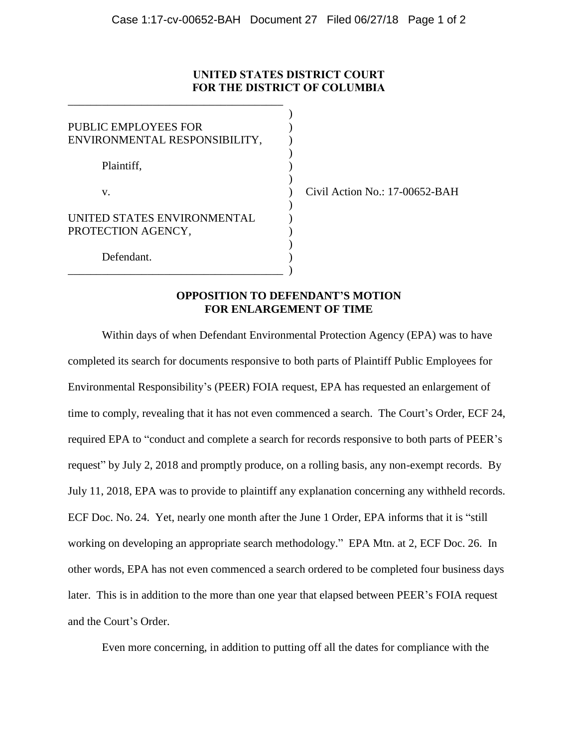## **UNITED STATES DISTRICT COURT FOR THE DISTRICT OF COLUMBIA**

)

| PUBLIC EMPLOYEES FOR<br>ENVIRONMENTAL RESPONSIBILITY, |          |
|-------------------------------------------------------|----------|
| Plaintiff,                                            |          |
| V.                                                    | Civil Ac |
| UNITED STATES ENVIRONMENTAL<br>PROTECTION AGENCY,     |          |
| Defendant.                                            |          |

\_\_\_\_\_\_\_\_\_\_\_\_\_\_\_\_\_\_\_\_\_\_\_\_\_\_\_\_\_\_\_\_\_\_\_\_\_\_

) Civil Action No.: 17-00652-BAH

## **OPPOSITION TO DEFENDANT'S MOTION FOR ENLARGEMENT OF TIME**

Within days of when Defendant Environmental Protection Agency (EPA) was to have completed its search for documents responsive to both parts of Plaintiff Public Employees for Environmental Responsibility's (PEER) FOIA request, EPA has requested an enlargement of time to comply, revealing that it has not even commenced a search. The Court's Order, ECF 24, required EPA to "conduct and complete a search for records responsive to both parts of PEER's request" by July 2, 2018 and promptly produce, on a rolling basis, any non-exempt records. By July 11, 2018, EPA was to provide to plaintiff any explanation concerning any withheld records. ECF Doc. No. 24. Yet, nearly one month after the June 1 Order, EPA informs that it is "still working on developing an appropriate search methodology." EPA Mtn. at 2, ECF Doc. 26. In other words, EPA has not even commenced a search ordered to be completed four business days later. This is in addition to the more than one year that elapsed between PEER's FOIA request and the Court's Order.

Even more concerning, in addition to putting off all the dates for compliance with the